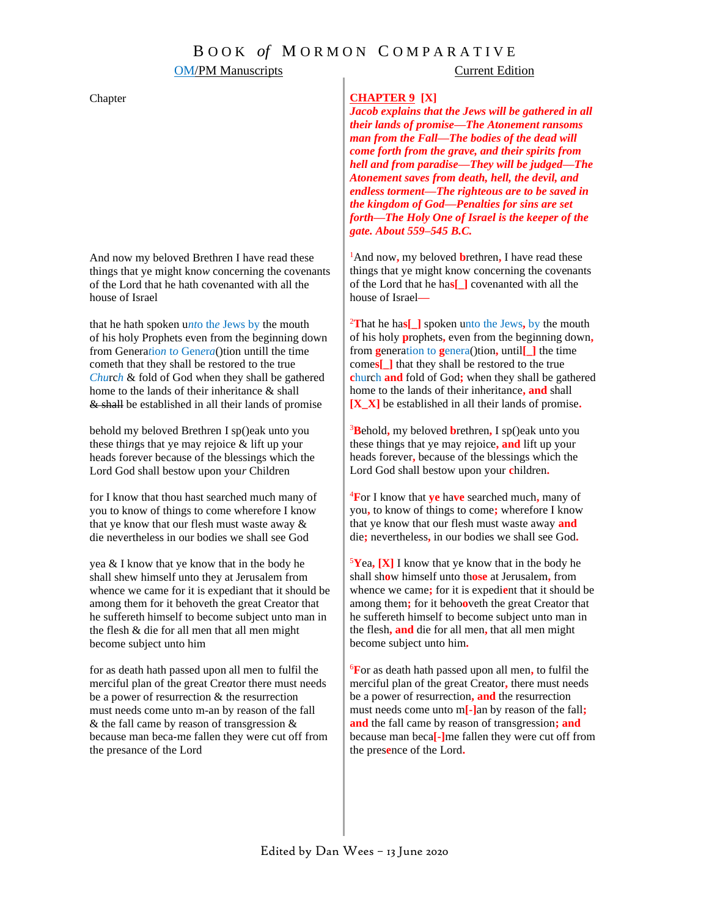### **OM/PM Manuscripts** Current Edition

### Chapter

And now my beloved Brethren I have read these things that ye might kno*w* concerning the covenants of the Lord that he hath covenanted with all the house of Israel

that he hath spoken u*nt*o th*e* Jews by the mouth of his holy Prophets even from the beginning down from Genera*t*io*n* t*o* Gen*e*r*a*()tion untill the time cometh that they shall be restored to the true *Chu*rc*h* & fold of God when they shall be gathered home to the lands of their inheritance & shall & shall be established in all their lands of promise

behold my beloved Brethren I sp()eak unto you these thi*n*gs that ye may rejoice & lift up your heads forever because of the blessings which the Lord God shall bestow upon you*r* Children

for I know that thou hast searched much many of you to know of things to come wherefore I know that ye know that our flesh must waste away & die nevertheless in our bodies we shall see God

yea & I know that ye know that in the body he shall shew himself unto they at Jerusalem from whence we came for it is expediant that it should be among them for it behoveth the great Creator that he suffereth himself to become subject unto man in the flesh & die for all men that all men might become subject unto him

for as death hath passed upon all men to fulfil the merciful plan of the great Cre*a*tor there must needs be a power of resurrection & the resurrection must needs come unto m-an by reason of the fall & the fall came by reason of transgression & because man beca-me fallen they were cut off from the presance of the Lord

### **CHAPTER 9 [X]**

*Jacob explains that the Jews will be gathered in all their lands of promise—The Atonement ransoms man from the Fall—The bodies of the dead will come forth from the grave, and their spirits from hell and from paradise—They will be judged—The Atonement saves from death, hell, the devil, and endless torment—The righteous are to be saved in the kingdom of God—Penalties for sins are set forth—The Holy One of Israel is the keeper of the gate. About 559–545 B.C.*

<sup>1</sup>And now**,** my beloved **b**rethren**,** I have read these things that ye might know concerning the covenants of the Lord that he ha**s[\_]** covenanted with all the house of Israel**—**

<sup>2</sup>**T**hat he ha**s[\_]** spoken unto the Jews**,** by the mouth of his holy **p**rophets**,** even from the beginning down**,**  from **g**eneration to **g**enera()tion**,** until**[\_]** the time come**s[\_]** that they shall be restored to the true **c**hurch **and** fold of God**;** when they shall be gathered home to the lands of their inheritance**, and** shall **[X\_X]** be established in all their lands of promise**.**

<sup>3</sup>**B**ehold**,** my beloved **b**rethren**,** I sp()eak unto you these things that ye may rejoice**, and** lift up your heads forever**,** because of the blessings which the Lord God shall bestow upon your **c**hildren**.**

<sup>4</sup>**F**or I know that **ye** ha**ve** searched much**,** many of you**,** to know of things to come**;** wherefore I know that ye know that our flesh must waste away **and** die**;** nevertheless**,** in our bodies we shall see God**.** 

<sup>5</sup>**Y**ea**, [X]** I know that ye know that in the body he shall sh**o**w himself unto th**ose** at Jerusalem**,** from whence we came**;** for it is expedi**e**nt that it should be among them**;** for it beho**o**veth the great Creator that he suffereth himself to become subject unto man in the flesh**, and** die for all men**,** that all men might become subject unto him**.** 

<sup>6</sup>**F**or as death hath passed upon all men**,** to fulfil the merciful plan of the great Creator**,** there must needs be a power of resurrection**, and** the resurrection must needs come unto m**[-]**an by reason of the fall**; and** the fall came by reason of transgression**; and** because man beca**[-]**me fallen they were cut off from the pres**e**nce of the Lord**.**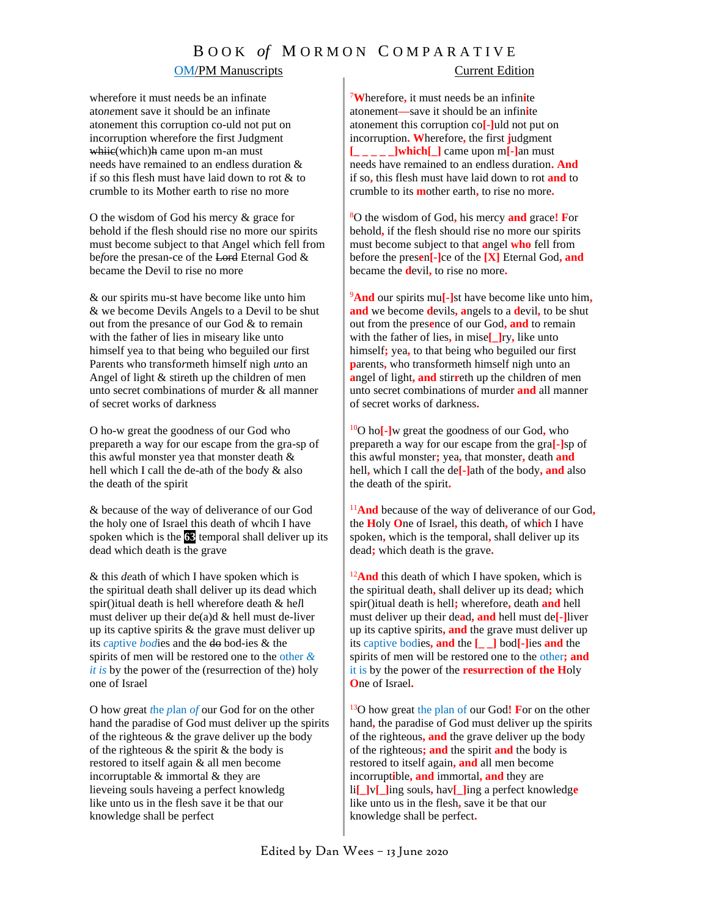### **OM/PM Manuscripts** Current Edition

wherefore it must needs be an infinate ato*ne*ment save it should be an infinate atonement this corruption co-uld not put on incorruption wherefore the first Judgment whiie(which)h came upon m-an must needs have remained to an endless duration & if *s*o this flesh must have laid down to rot & to crumble to its Mother earth to rise no more

O the wisdom of God his mercy & grace for behold if the flesh should rise no more our spirits must become subject to that Angel which fell from be*f*ore the presan-ce of the Lord Eternal God & became the Devil to rise no more

& our spirits mu-st have become like unto him & we become Devils Angels to a Devil to be shut out from the presance of our God & to remain with the father of lies in miseary like unto himself yea to that being who beguiled our first Parents who transfo*r*meth himself nigh *un*to an Angel of light & stireth up the children of men unto secret combinations of murder & all manner of secret works of darkness

O ho-w great the goodness of our God who prepareth a way for our escape from the gra-sp of this awful monster yea that monster death & hell which I call the de-ath of the bo*d*y & also the death of the spirit

& because of the way of deliverance of our God the holy one of Israel this death of whcih I have spoken which is the **63** temporal shall deliver up its dead which death is the grave

& this *de*ath of which I have spoken which is the spiritual death shall deliver up its dead which spir()itual death is hell wherefore death & he*l*l must deliver up their de(a)d  $&$  hell must de-liver up its captive spirits  $&$  the grave must deliver up its *c*a*p*tive *b*o*d*ies and the do bod-ies & the spirits of men will be restored one to the other *& it is* by the power of the (resurrection of the) holy one of Israel

O how *g*reat *t*he *p*lan *of* our God for on the other hand the paradise of God must deliver up the spirits of the righteous & the grave deliver up the body of the righteous  $\&$  the spirit  $\&$  the body is restored to itself again & all men become incorruptable & immortal & they are lieveing souls haveing a perfect knowledg like unto us in the flesh save it be that our knowledge shall be perfect

<sup>7</sup>**W**herefore**,** it must needs be an infin**i**te atonement**—**save it should be an infin**i**te atonement this corruption co**[-]**uld not put on incorruption**. W**herefore**,** the first **j**udgment **[\_ \_ \_ \_ \_]which[\_]** came upon m**[-]**an must needs have remained to an endless duration**. And**  if so**,** this flesh must have laid down to rot **and** to crumble to its **m**other earth**,** to rise no more**.**

<sup>8</sup>O the wisdom of God**,** his mercy **and** grace**! F**or behold**,** if the flesh should rise no more our spirits must become subject to that **a**ngel **who** fell from before the pres**e**n**[-]**ce of the **[X]** Eternal God**, and**  became the **d**evil**,** to rise no more**.**

<sup>9</sup>**And** our spirits mu**[-]**st have become like unto him**, and** we become **d**evils**, a**ngels to a **d**evil**,** to be shut out from the pres**e**nce of our God**, and** to remain with the father of lies**,** in mise**[\_]**ry**,** like unto himself**;** yea**,** to that being who beguiled our first **p**arents**,** who transformeth himself nigh unto an **a**ngel of light**, and** stir**r**eth up the children of men unto secret combinations of murder **and** all manner of secret works of darkness**.**

<sup>10</sup>O ho**[-]**w great the goodness of our God**,** who prepareth a way for our escape from the gra**[-]**sp of this awful monster**;** yea**,** that monster**,** death **and** hell**,** which I call the de**[-]**ath of the body**, and** also the death of the spirit**.** 

<sup>11</sup>**And** because of the way of deliverance of our God**,** the **H**oly **O**ne of Israel**,** this death**,** of wh**ic**h I have spoken**,** which is the temporal**,** shall deliver up its dead**;** which death is the grave**.**

<sup>12</sup>**And** this death of which I have spoken**,** which is the spiritual death**,** shall deliver up its dead**;** which spir()itual death is hell**;** wherefore**,** death **and** hell must deliver up their de**a**d**, and** hell must de**[-]**liver up its captive spirits**, and** the grave must deliver up its captive bodies**, and** the **[\_ \_]** bod**[-]**ies **and** the spirits of men will be restored one to the other**; and** it is by the power of the **resurrection of the H**oly **O**ne of Israel**.**

<sup>13</sup>O how great the plan of our God**! F**or on the other hand**,** the paradise of God must deliver up the spirits of the righteous**, and** the grave deliver up the body of the righteous**; and** the spirit **and** the body is restored to itself again**, and** all men become incorrupt**i**ble**, and** immortal**, and** they are li**[\_]**v**[\_]**ing souls**,** hav**[\_]**ing a perfect knowledg**e** like unto us in the flesh**,** save it be that our knowledge shall be perfect**.**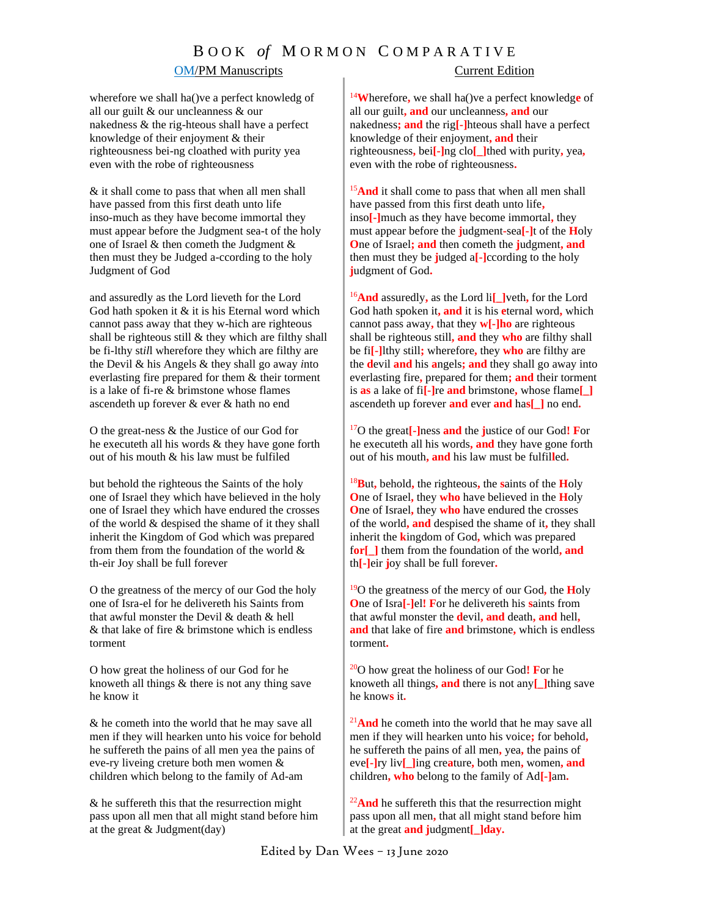### **OM/PM Manuscripts** Current Edition

wherefore we shall ha()ve a perfect knowledg of all our guilt & our uncleanness & our nakedness & the rig-hteous shall have a perfect knowledge of their enjoyment & their righteousness bei-ng cloathed with purity yea even with the robe of righteousness

& it shall come to pass that when all men shall have passed from this first death unto life inso-much as they have become immortal they must appear before the Judgment sea-t of the holy one of Israel & then cometh the Judgment & then must they be Judged a-ccording to the holy Judgment of God

and assuredly as the Lord lieveth for the Lord God hath spoken it  $&$  it is his Eternal word which cannot pass away that they w-hich are righteous shall be righteous still  $&$  they which are filthy shall be fi-lthy st*il*l wherefore they which are filthy are the Devil & his Angels & they shall go away *i*nto everlasting fire prepared for them & their torment is a lake of fi-re & brimstone whose flames ascendeth up forever & ever & hath no end

O the great-ness & the Justice of our God for he executeth all his words & they have gone forth out of his mouth & his law must be fulfiled

but behold the righteous the Saints of the holy one of Israel they which have believed in the holy one of Israel they which have endured the crosses of the world & despised the shame of it they shall inherit the Kingdom of God which was prepared from them from the foundation of the world & th-eir Joy shall be full forever

O the greatness of the mercy of our God the holy one of Isra-el for he delivereth his Saints from that awful monster the Devil & death & hell & that lake of fire & brimstone which is endless torment

O how great the holiness of our God for he knoweth all things & there is not any thing save he know it

& he cometh into the world that he may save all men if they will hearken unto his voice for behold he suffereth the pains of all men yea the pains of eve-ry liveing creture both men women & children which belong to the family of Ad-am

& he suffereth this that the resurrection might pass upon all men that all might stand before him at the great  $& Judgment (day)$ 

<sup>14</sup>**W**herefore**,** we shall ha()ve a perfect knowledg**e** of all our guilt**, and** our uncleanness**, and** our nakedness**; and** the rig**[-]**hteous shall have a perfect knowledge of their enjoyment**, and** their righteousness**,** bei**[-]**ng clo**[\_]**thed with purity**,** yea**,**  even with the robe of righteousness**.**

<sup>15</sup>And it shall come to pass that when all men shall have passed from this first death unto life**,** inso**[-]**much as they have become immortal**,** they must appear before the **j**udgment**-**sea**[-]**t of the **H**oly **O**ne of Israel**; and** then cometh the **j**udgment**, and**  then must they be **j**udged a**[-]**ccording to the holy **j**udgment of God**.** 

<sup>16</sup>**And** assuredly**,** as the Lord li**[\_]**veth**,** for the Lord God hath spoken it**, and** it is his **e**ternal word**,** which cannot pass away**,** that they **w[-]ho** are righteous shall be righteous still**, and** they **who** are filthy shall be fi**[-]**lthy still**;** wherefore**,** they **who** are filthy are the **d**evil **and** his **a**ngels**; and** they shall go away into everlasting fire**,** prepared for them**; and** their torment is **as** a lake of fi**[-]**re **and** brimstone**,** whose flame**[\_]** ascendeth up forever **and** ever **and** ha**s[\_]** no end**.**

<sup>17</sup>O the great**[-]**ness **and** the **j**ustice of our God**! F**or he executeth all his words**, and** they have gone forth out of his mouth**, and** his law must be fulfil**l**ed**.**

<sup>18</sup>**B**ut**,** behold**,** the righteous**,** the **s**aints of the **H**oly **O**ne of Israel**,** they **who** have believed in the **H**oly **O**ne of Israel**,** they **who** have endured the crosses of the world**, and** despised the shame of it**,** they shall inherit the **k**ingdom of God**,** which was prepared f**or[\_]** them from the foundation of the world**, and** th**[-]**eir **j**oy shall be full forever**.**

<sup>19</sup>O the greatness of the mercy of our God**,** the **H**oly **O**ne of Isra**[-]**el**! F**or he delivereth his **s**aints from that awful monster the **d**evil**, and** death**, and** hell**, and** that lake of fire **and** brimstone**,** which is endless torment**.**

<sup>20</sup>O how great the holiness of our God**! F**or he knoweth all things**, and** there is not any**[\_]**thing save he know**s** it**.**

<sup>21</sup>**And** he cometh into the world that he may save all men if they will hearken unto his voice**;** for behold**,**  he suffereth the pains of all men**,** yea**,** the pains of eve**[-]**ry liv**[\_]**ing cre**a**ture**,** both men**,** women**, and** children**, who** belong to the family of Ad**[-]**am**.**

<sup>22</sup>**And** he suffereth this that the resurrection might pass upon all men**,** that all might stand before him at the great **and j**udgment**[\_]day.**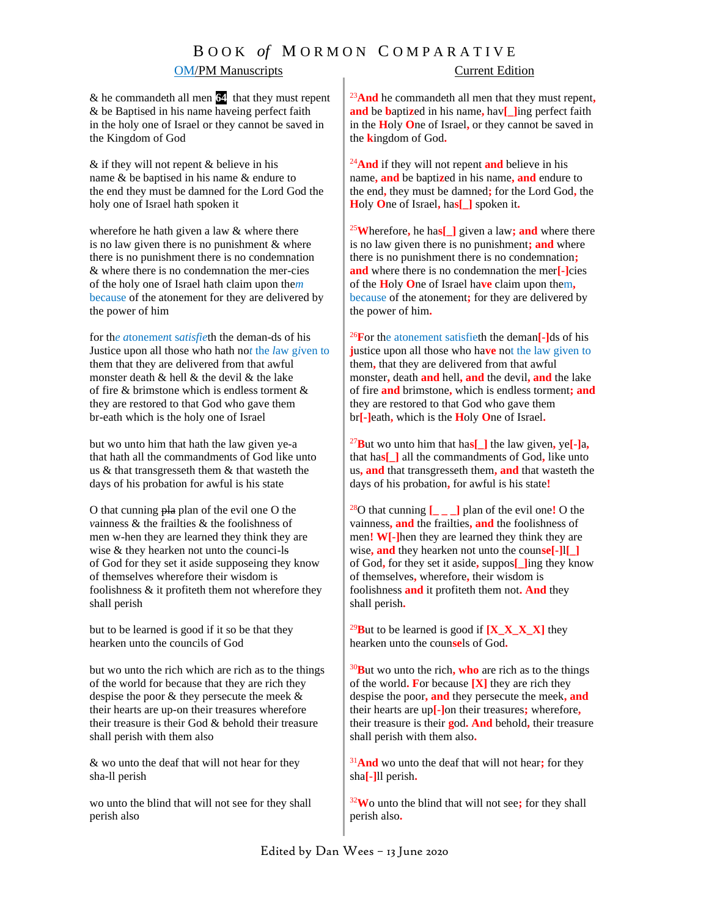## OM/PM Manuscripts Current Edition

& he commandeth all men **64** that they must repent & be Baptised in his name haveing perfect faith in the holy one of Israel or they cannot be saved in the Kingdom of God

& if they will not repent & believe in his name & be baptised in his name & endure to the end they must be damned for the Lord God the holy one of Israel hath spoken it

wherefore he hath given a law  $&$  where there is no law given there is no punishment & where there is no punishment there is no condemnation & where there is no condemnation the mer-cies of the holy one of Israel hath claim upon the*m* because of the atonement for they are delivered by the power of him

for th*e a*toneme*n*t s*atisfie*th the deman-ds of his Justice upon all those who hath no*t* the *l*aw g*i*ven to them that they are delivered from that awful monster death & hell & the devil & the lake of fire & brimstone which is endless torment & they are re*s*tored to that God who gave them br-eath which is the holy one of Israel

but wo unto him that hath the law given ye-a that hath all the commandments of God like unto us & that transgresseth them & that wasteth the days of his probation for awful is his state

O that cunning pla plan of the evil one O the *v*ainness & the frailties & the foolishness of men w-hen they are learned they think they are wise & they hearken not unto the counci-ls of God for they set it aside supposeing they know of themselves wherefore their wisdom is foolishness & it profiteth them not wherefore they shall perish

but to be learned is good if it so be that they hearken unto the councils of God

but wo unto the rich which are rich as to the things of the world for because that they are rich they despise the poor & they persecute the meek & their hearts are up-on their treasures wherefore their treasure is their God & behold their treasure shall perish with them also

& wo unto the deaf that will not hear for they sha-ll perish

wo unto the blind that will not see for they shall perish also

<sup>23</sup>**And** he commandeth all men that they must repent**, and** be **b**apti**z**ed in his name**,** hav**[\_]**ing perfect faith in the **H**oly **O**ne of Israel**,** or they cannot be saved in the **k**ingdom of God**.**

<sup>24</sup>**And** if they will not repent **and** believe in his name**, and** be bapti**z**ed in his name**, and** endure to the end**,** they must be damned**;** for the Lord God**,** the **H**oly **O**ne of Israel**,** ha**s[\_]** spoken it**.**

<sup>25</sup>**W**herefore**,** he ha**s[\_]** given a law**; and** where there is no law given there is no punishment**; and** where there is no punishment there is no condemnation**; and** where there is no condemnation the mer**[-]**cies of the **H**oly **O**ne of Israel ha**ve** claim upon them**,**  because of the atonement**;** for they are delivered by the power of him**.**

<sup>26</sup>**F**or the atonement satisfieth the deman**[-]**ds of his **j**ustice upon all those who ha**ve** not the law given to them**,** that they are delivered from that awful monster**,** death **and** hell**, and** the devil**, and** the lake of fire **and** brimstone**,** which is endless torment**; and** they are restored to that God who gave them br**[-]**eath**,** which is the **H**oly **O**ne of Israel**.**

<sup>27</sup>**B**ut wo unto him that ha**s[\_]** the law given**,** ye**[-]**a**,** that ha**s[\_]** all the commandments of God**,** like unto us**, and** that transgresseth them**, and** that wasteth the days of his probation**,** for awful is his state**!**

<sup>28</sup>O that cunning **[\_ \_ \_]** plan of the evil one**!** O the vainness**, and** the frailties**, and** the foolishness of men**! W[-]**hen they are learned they think they are wise**, and** they hearken not unto the coun**se[-]**l**[\_]** of God**,** for they set it aside**,** suppos**[\_]**ing they know of themselves**,** wherefore**,** their wisdom is foolishness **and** it profiteth them not**. And** they shall perish**.**

<sup>29</sup>**B**ut to be learned is good if **[X\_X\_X\_X]** they hearken unto the coun**se**ls of God**.**

<sup>30</sup>**B**ut wo unto the rich**, who** are rich as to the things of the world**. F**or because **[X]** they are rich they despise the poor**, and** they persecute the meek**, and** their hearts are up**[-]**on their treasures**;** wherefore**,**  their treasure is their **g**od**. And** behold**,** their treasure shall perish with them also**.** 

<sup>31</sup>**And** wo unto the deaf that will not hear**;** for they sha**[-]**ll perish**.** 

<sup>32</sup>**W**o unto the blind that will not see**;** for they shall perish also**.**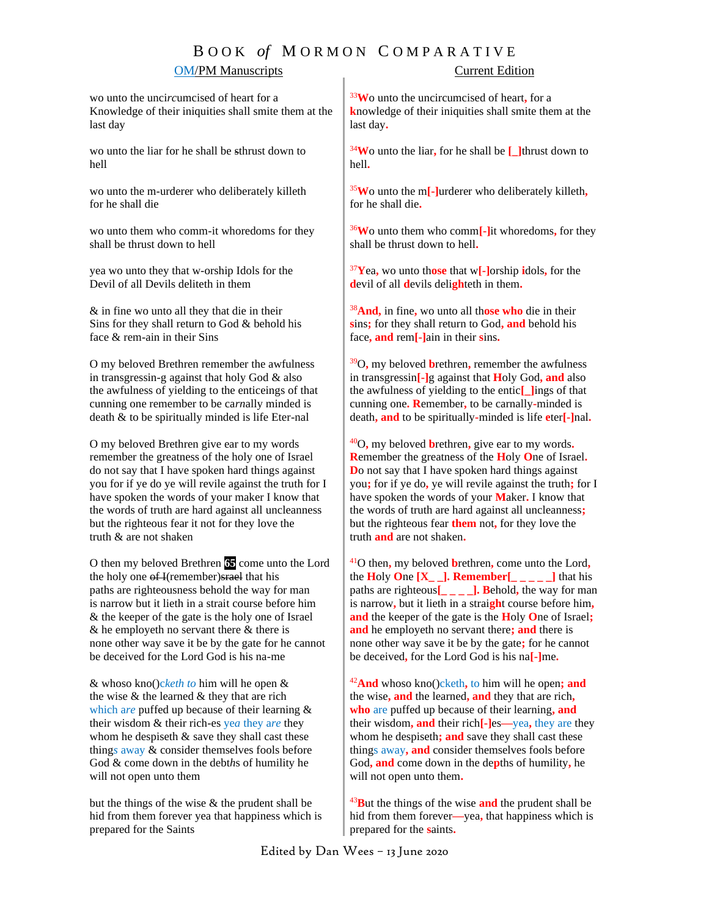### **OM/PM Manuscripts** Current Edition

wo unto the unci*rc*umcised of heart for a Knowledge of their iniquities shall smite them at the last day

wo unto the liar for he shall be sthrust down to hell

wo unto the m-urderer who deliberately killeth for he shall die

wo unto them who comm-it whoredoms for they shall be thrust down to hell

yea wo unto they that w-orship Idols for the Devil of all Devils deliteth in them

& in fine wo unto all they that die in their Sins for they shall return to God & behold his face & rem-ain in their Sins

O my beloved Brethren remember the awfulness in transgressin-g against that holy God & also the awfulness of yielding to the enticeings of that cunning one remember to be ca*rn*ally minded is death & to be spiritually minded is life Eter-nal

O my beloved Brethren give ear to my words remember the greatness of the holy one of Israel do not say that I have spoken hard things against you for if ye do ye will revile against the truth for I have spoken the words of your maker I know that the words of truth are hard against all uncleanness but the righteous fear it not for they love the truth & are not shaken

O then my beloved Brethren **65** come unto the Lord the holy one of I(remember) strael that his paths are righteousness behold the way for man is narrow but it lieth in a strait course before him & the keeper of the gate is the holy one of Israel  $&$  he employeth no servant there  $&$  there is none other way save it be by the gate for he cannot be deceived for the Lord God is his na-me

& whoso kno()c*keth to* him will he open & the wise & the learned & they that are rich which a*re* puffed up because of their learning & their wisdom & their rich-es ye*a* they a*re* they whom he despiseth  $&$  save they shall cast these thing*s* away & consider themselves fools before God & come down in the debt*h*s of humility he will not open unto them

but the things of the wise  $\&$  the prudent shall be hid from them forever yea that happiness which is prepared for the Saints

<sup>33</sup>**W**o unto the uncircumcised of heart**,** for a **k**nowledge of their iniquities shall smite them at the last day**.**

<sup>34</sup>**W**o unto the liar**,** for he shall be **[\_]**thrust down to hell**.**

<sup>35</sup>**W**o unto the m**[-]**urderer who deliberately killeth**,**  for he shall die**.** 

<sup>36</sup>**W**o unto them who comm**[-]**it whoredoms**,** for they shall be thrust down to hell**.**

<sup>37</sup>**Y**ea**,** wo unto th**ose** that w**[-]**orship **i**dols**,** for the **d**evil of all **d**evils deli**gh**teth in them**.**

<sup>38</sup>**And,** in fine**,** wo unto all th**ose who** die in their **s**ins**;** for they shall return to God**, and** behold his face**, and** rem**[-]**ain in their **s**ins**.**

<sup>39</sup>O**,** my beloved **b**rethren**,** remember the awfulness in transgressin**[-]**g against that **H**oly God**, and** also the awfulness of yielding to the entic**[\_]**ings of that cunning one**. R**emember**,** to be carnally**-**minded is death**, and** to be spiritually**-**minded is life **e**ter**[-]**nal**.**

<sup>40</sup>O**,** my beloved **b**rethren**,** give ear to my words**. R**emember the greatness of the **H**oly **O**ne of Israel**. D**o not say that I have spoken hard things against you**;** for if ye do**,** ye will revile against the truth**;** for I have spoken the words of your **M**aker**.** I know that the words of truth are hard against all uncleanness**;** but the righteous fear **them** not**,** for they love the truth **and** are not shaken**.**

<sup>41</sup>O then**,** my beloved **b**rethren**,** come unto the Lord**,** the **H**oly **One**  $[X_$  $]$ **. Remember**[  $]$   $]$   $]$   $]$   $]$   $]$   $]$  that his paths are righteous**[\_ \_ \_ \_]. B**ehold**,** the way for man is narrow**,** but it lieth in a strai**gh**t course before him**, and** the keeper of the gate is the **H**oly **O**ne of Israel**; and** he employeth no servant there**; and** there is none other way save it be by the gate**;** for he cannot be deceived**,** for the Lord God is his na**[-]**me**.**

<sup>42</sup>**And** whoso kno()cketh**,** to him will he open**; and** the wise**, and** the learned**, and** they that are rich**, who** are puffed up because of their learning**, and** their wisdom**, and** their rich**[-]**es**—**yea**,** they are they whom he despiseth**; and** save they shall cast these things away**, and** consider themselves fools before God**, and** come down in the de**p**ths of humility**,** he will not open unto them**.**

<sup>43</sup>**B**ut the things of the wise **and** the prudent shall be hid from them forever**—**yea**,** that happiness which is prepared for the **s**aints**.**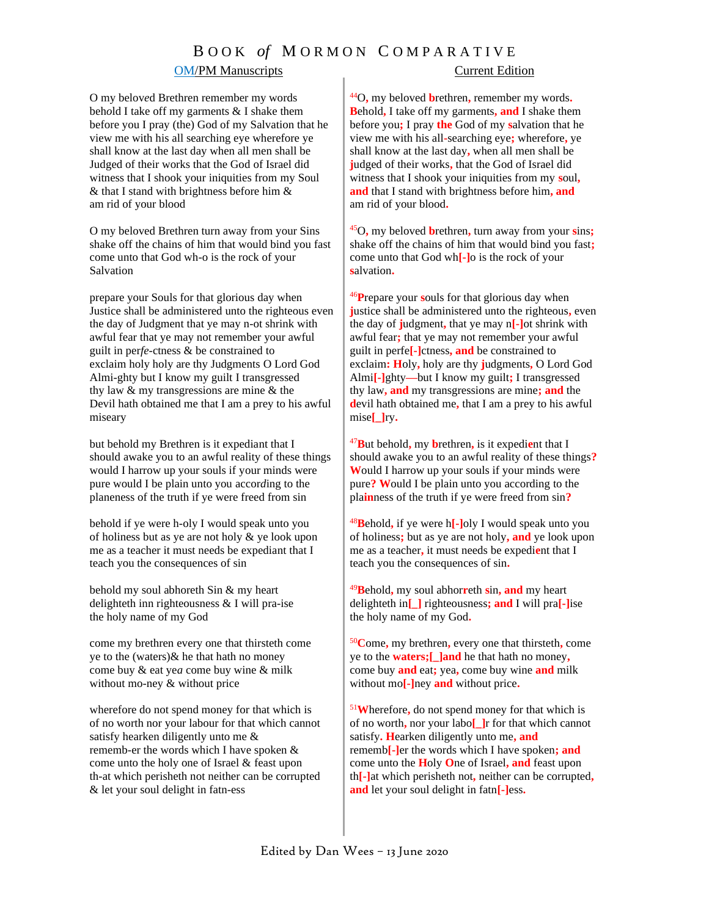### **OM/PM Manuscripts** Current Edition

### O my belov*e*d Brethren remember my words beh*o*ld I take off my garments & I shake them before you I pray (the) God of my Salvation that he view me with his all searching eye wherefore ye shall know at the last day when all men shall be Judged of their works that the God of Israel did witness that I shook your iniquities from my Soul & that I stand with brightness before him & am rid of your blood

O my beloved Brethren turn away from your Sins shake off the chains of him that would bind you fast come unto that God wh-o is the rock of your Salvation

prepare your Souls for that glorious day when Justice shall be administered unto the righteous even the day of Judgment that ye may n-ot shrink with awful fear that ye may not remember your awful guilt in per*fe*-ctness & be constrained to exclaim holy holy are thy Judgments O Lord God Almi-ghty but I know my guilt I transgressed thy law & my transgressions are mine & the Devil hath obtained me that I am a prey to his awful miseary

but behold my Brethren is it expediant that I should awake you to an awful reality of these things would I harrow up your souls if your minds were pure would I be plain unto you accor*d*ing to the planeness of the truth if ye were freed from sin

behold if ye were h-oly I would speak unto you of holiness but as ye are not holy & ye look upon me as a teacher it must needs be expediant that I teach you the consequences of sin

behold my soul abhoreth Sin & my heart delighteth inn righteousness & I will pra-ise the holy name of my God

come my brethren every one that thirsteth come ye to the (waters) $\&$  he that hath no money come buy & eat ye*a* come buy wine & milk without mo-ney & without price

wherefore do not spend money for that which is of no worth nor your labour for that which cannot satisfy hearken diligently unto me & rememb-er the words which I have spoken & come unto the holy one of Israel & feast upon th-at which perisheth not neither can be corrupted & let your soul delight in fatn-ess

<sup>44</sup>O**,** my beloved **b**rethren**,** remember my words**. B**ehold**,** I take off my garments**, and** I shake them before you**;** I pray **the** God of my **s**alvation that he view me with his all**-**searching eye**;** wherefore**,** ye shall know at the last day**,** when all men shall be **j**udged of their works**,** that the God of Israel did witness that I shook your iniquities from my **s**oul**, and** that I stand with brightness before him**, and**  am rid of your blood**.**

<sup>45</sup>O**,** my beloved **b**rethren**,** turn away from your **s**ins**;** shake off the chains of him that would bind you fast**;** come unto that God wh**[-]**o is the rock of your **s**alvation**.**

<sup>46</sup>**P**repare your **s**ouls for that glorious day when **j**ustice shall be administered unto the righteous**,** even the day of **j**udgment**,** that ye may n**[-]**ot shrink with awful fear**;** that ye may not remember your awful guilt in perfe**[-]**ctness**, and** be constrained to exclaim**: H**oly**,** holy are thy **j**udgments**,** O Lord God Almi**[-]**ghty**—**but I know my guilt**;** I transgressed thy law**, and** my transgressions are mine**; and** the **d**evil hath obtained me**,** that I am a prey to his awful mise**[\_]**ry**.** 

<sup>47</sup>**B**ut behold**,** my **b**rethren**,** is it expedi**e**nt that I should awake you to an awful reality of these things**? W**ould I harrow up your souls if your minds were pure**? W**ould I be plain unto you according to the pla**in**ness of the truth if ye were freed from sin**?**

<sup>48</sup>**B**ehold**,** if ye were h**[-]**oly I would speak unto you of holiness**;** but as ye are not holy**, and** ye look upon me as a teacher**,** it must needs be expedi**e**nt that I teach you the consequences of sin**.**

<sup>49</sup>**B**ehold**,** my soul abhor**r**eth **s**in**, and** my heart delighteth in**[\_]** righteousness**; and** I will pra**[-]**ise the holy name of my God**.**

<sup>50</sup>**C**ome**,** my brethren**,** every one that thirsteth**,** come ye to the **waters;[\_]and** he that hath no money**,** come buy **and** eat**;** yea**,** come buy wine **and** milk without mo**[-]**ney **and** without price**.**

<sup>51</sup>**W**herefore**,** do not spend money for that which is of no worth**,** nor your labo**[\_]**r for that which cannot satisfy**. H**earken diligently unto me**, and** rememb**[-]**er the words which I have spoken**; and** come unto the **H**oly **O**ne of Israel**, and** feast upon th**[-]**at which perisheth not**,** neither can be corrupted**, and** let your soul delight in fatn**[-]**ess**.**